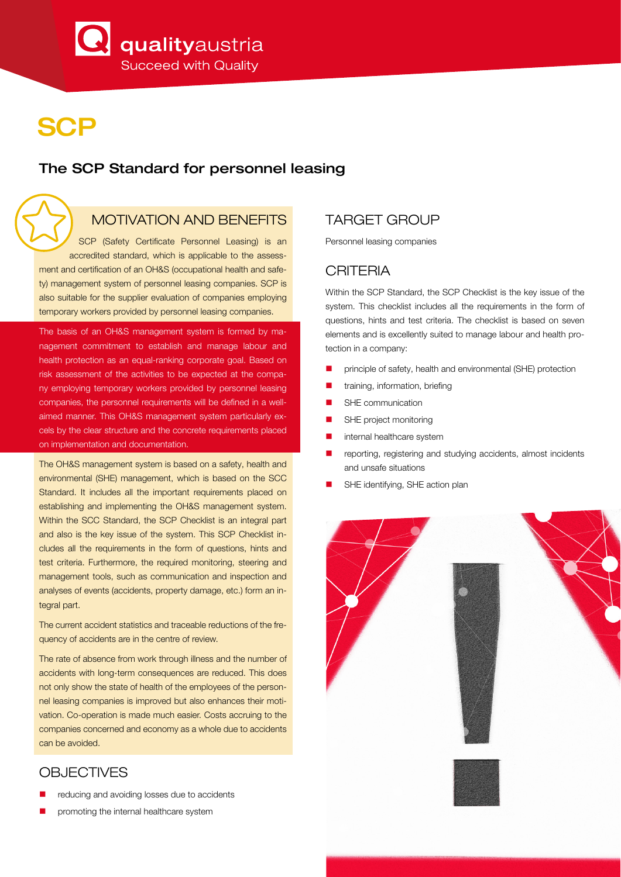**R** qualityaustria **Succeed with Quality** 

# **SCP**

### The SCP Standard for personnel leasing

## MOTIVATION AND BENEFITS

 SCP (Safety Certificate Personnel Leasing) is an accredited standard, which is applicable to the assessment and certification of an OH&S (occupational health and safety) management system of personnel leasing companies. SCP is also suitable for the supplier evaluation of companies employing temporary workers provided by personnel leasing companies.

The basis of an OH&S management system is formed by management commitment to establish and manage labour and health protection as an equal-ranking corporate goal. Based on risk assessment of the activities to be expected at the company employing temporary workers provided by personnel leasing companies, the personnel requirements will be defined in a wellaimed manner. This OH&S management system particularly excels by the clear structure and the concrete requirements placed on implementation and documentation.

The OH&S management system is based on a safety, health and environmental (SHE) management, which is based on the SCC Standard. It includes all the important requirements placed on establishing and implementing the OH&S management system. Within the SCC Standard, the SCP Checklist is an integral part and also is the key issue of the system. This SCP Checklist includes all the requirements in the form of questions, hints and test criteria. Furthermore, the required monitoring, steering and management tools, such as communication and inspection and analyses of events (accidents, property damage, etc.) form an integral part.

The current accident statistics and traceable reductions of the frequency of accidents are in the centre of review.

The rate of absence from work through illness and the number of accidents with long-term consequences are reduced. This does not only show the state of health of the employees of the personnel leasing companies is improved but also enhances their motivation. Co-operation is made much easier. Costs accruing to the companies concerned and economy as a whole due to accidents can be avoided.

#### **OBJECTIVES**

- reducing and avoiding losses due to accidents
- promoting the internal healthcare system

#### TARGET GROUP

Personnel leasing companies

#### **CRITERIA**

Within the SCP Standard, the SCP Checklist is the key issue of the system. This checklist includes all the requirements in the form of questions, hints and test criteria. The checklist is based on seven elements and is excellently suited to manage labour and health protection in a company:

- principle of safety, health and environmental (SHE) protection
- training, information, briefing
- **SHE** communication
- **B** SHE project monitoring
- $\blacksquare$  internal healthcare system
- reporting, registering and studying accidents, almost incidents and unsafe situations
- SHE identifying, SHE action plan